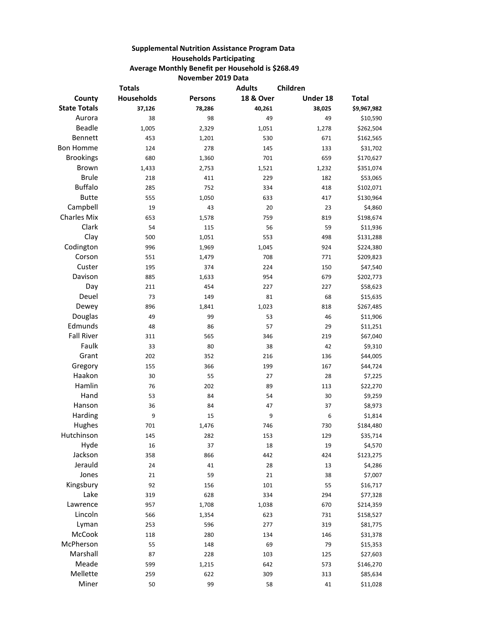## **Supplemental Nutrition Assistance Program Data Households Participating Average Monthly Benefit per Household is \$268.49 November 2019 Data**

| <b>18 &amp; Over</b><br><b>Households</b><br>Under 18<br>County<br><b>Persons</b> | <b>Total</b> |
|-----------------------------------------------------------------------------------|--------------|
|                                                                                   |              |
| <b>State Totals</b><br>37,126<br>78,286<br>40,261<br>38,025                       | \$9,967,982  |
| Aurora<br>38<br>98<br>49<br>49                                                    | \$10,590     |
| <b>Beadle</b><br>1,005<br>2,329<br>1,051<br>1,278                                 | \$262,504    |
| Bennett<br>453<br>530<br>671<br>1,201                                             | \$162,565    |
| <b>Bon Homme</b><br>124<br>278<br>145<br>133                                      | \$31,702     |
| <b>Brookings</b><br>680<br>701<br>659<br>1,360                                    | \$170,627    |
| <b>Brown</b><br>1,433<br>2,753<br>1,521<br>1,232                                  | \$351,074    |
| <b>Brule</b><br>229<br>218<br>411<br>182                                          | \$53,065     |
| <b>Buffalo</b><br>285<br>752<br>334<br>418                                        | \$102,071    |
| <b>Butte</b><br>555<br>1,050<br>633<br>417                                        | \$130,964    |
| Campbell<br>19<br>43<br>20<br>23                                                  | \$4,860      |
| <b>Charles Mix</b><br>653<br>1,578<br>759<br>819                                  | \$198,674    |
| Clark<br>54<br>56<br>59<br>115                                                    | \$11,936     |
| Clay<br>500<br>1,051<br>553<br>498                                                | \$131,288    |
| Codington<br>996<br>924<br>1,969<br>1,045                                         | \$224,380    |
| Corson<br>708<br>771<br>551<br>1,479                                              | \$209,823    |
| Custer<br>195<br>374<br>224<br>150                                                | \$47,540     |
| Davison<br>885<br>954<br>679<br>1,633                                             | \$202,773    |
| Day<br>211<br>454<br>227<br>227                                                   | \$58,623     |
| Deuel<br>73<br>81<br>68<br>149                                                    | \$15,635     |
| Dewey<br>896<br>1,023<br>818<br>1,841                                             | \$267,485    |
| Douglas<br>49<br>99<br>53<br>46                                                   | \$11,906     |
| Edmunds<br>48<br>86<br>57<br>29                                                   | \$11,251     |
| <b>Fall River</b><br>219<br>311<br>565<br>346                                     | \$67,040     |
| Faulk<br>33<br>80<br>38<br>42                                                     | \$9,310      |
| Grant<br>202<br>216<br>136<br>352                                                 | \$44,005     |
| Gregory<br>155<br>366<br>199<br>167                                               | \$44,724     |
| Haakon<br>30<br>55<br>27<br>28                                                    | \$7,225      |
| Hamlin<br>202<br>76<br>89<br>113                                                  | \$22,270     |
| Hand<br>53<br>84<br>54<br>30                                                      | \$9,259      |
| Hanson<br>36<br>84<br>47<br>37                                                    | \$8,973      |
| Harding<br>9<br>6<br>15<br>9                                                      | \$1,814      |
| Hughes<br>730<br>701<br>1,476<br>746                                              | \$184,480    |
| Hutchinson<br>145<br>282<br>153<br>129                                            | \$35,714     |
| Hyde<br>16<br>$18\,$<br>19<br>37                                                  | \$4,570      |
| Jackson<br>358<br>866<br>442<br>424                                               | \$123,275    |
| Jerauld<br>24<br>41<br>28<br>13                                                   | \$4,286      |
| Jones<br>21<br>59<br>21<br>38                                                     | \$7,007      |
| Kingsbury<br>92<br>101<br>55<br>156                                               | \$16,717     |
| Lake<br>319<br>334<br>294<br>628                                                  | \$77,328     |
| Lawrence<br>957<br>1,708<br>1,038<br>670                                          | \$214,359    |
| Lincoln<br>623<br>566<br>1,354<br>731                                             | \$158,527    |
| Lyman<br>277<br>319<br>253<br>596                                                 | \$81,775     |
| McCook<br>134<br>118<br>280<br>146                                                | \$31,378     |
| McPherson<br>55<br>148<br>69<br>79                                                | \$15,353     |
| Marshall<br>87<br>228<br>103<br>125                                               | \$27,603     |
| Meade<br>599<br>642<br>573<br>1,215                                               | \$146,270    |
| Mellette<br>259<br>622<br>309<br>313                                              | \$85,634     |
| Miner<br>50<br>99<br>58<br>41                                                     | \$11,028     |